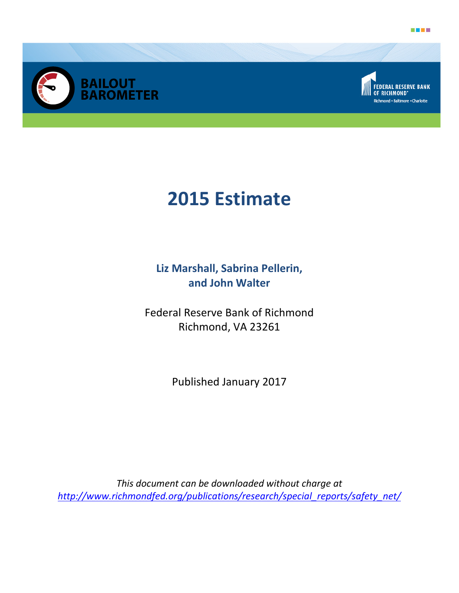





# **2015 Estimate**

**Liz Marshall, Sabrina Pellerin, and John Walter**

Federal Reserve Bank of Richmond Richmond, VA 23261

Published January 2017

*This document can be downloaded without charge at [http://www.richmondfed.org/publications/research/special\\_reports/safety\\_net/](http://www.richmondfed.org/publications/research/special_reports/safety_net/)*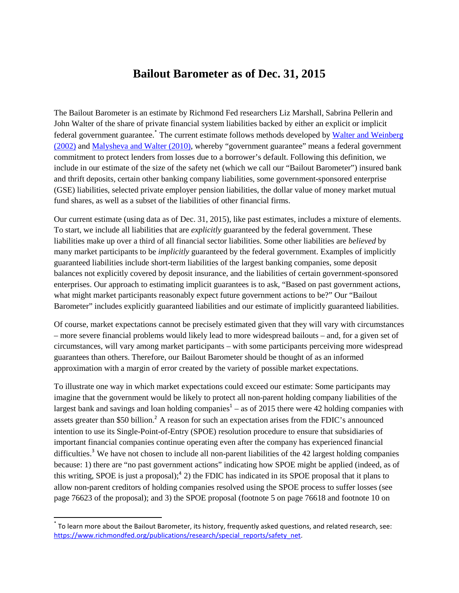## <span id="page-1-1"></span>**Bailout Barometer as of Dec. 31, 2015**

The Bailout Barometer is an estimate by Richmond Fed researchers Liz Marshall, Sabrina Pellerin and John Walter of the share of private financial system liabilities backed by either an explicit or implicit federal government guarantee[.](#page-1-0)<sup>\*</sup> [T](#page-1-2)he current estimate follows methods developed by Walter and Weinberg [\(2002\)](http://www.cato.org/sites/cato.org/files/serials/files/cato-journal/2002/1/cj21n3-2.pdf) an[d Malysheva and Walter \(2010\),](http://www.richmondfed.org/publications/research/economic_quarterly/2010/q3/pdf/walter.pdf) whereby "government guarantee" means a federal government commitment to protect lenders from losses due to a borrower's default. Following this definition, we include in our estimate of the size of the safety net (which we call our "Bailout Barometer") insured bank and thrift deposits, certain other banking company liabilities, some government-sponsored enterprise (GSE) liabilities, selected private employer pension liabilities, the dollar value of money market mutual fund shares, as well as a subset of the liabilities of other financial firms.

Our current estimate (using data as of Dec. 31, 2015), like past estimates, includes a mixture of elements. To start, we include all liabilities that are *explicitly* guaranteed by the federal government. These liabilities make up over a third of all financial sector liabilities. Some other liabilities are *believed* by many market participants to be *implicitly* guaranteed by the federal government. Examples of implicitly guaranteed liabilities include short-term liabilities of the largest banking companies, some deposit balances not explicitly covered by deposit insurance, and the liabilities of certain government-sponsored enterprises. Our approach to estimating implicit guarantees is to ask, "Based on past government actions, what might market participants reasonably expect future government actions to be?" Our "Bailout Barometer" includes explicitly guaranteed liabilities and our estimate of implicitly guaranteed liabilities.

Of course, market expectations cannot be precisely estimated given that they will vary with circumstances – more severe financial problems would likely lead to more widespread bailouts – and, for a given set of circumstances, will vary among market participants – with some participants perceiving more widespread guarantees than others. Therefore, our Bailout Barometer should be thought of as an informed approximation with a margin of error created by the variety of possible market expectations.

<span id="page-1-5"></span><span id="page-1-4"></span><span id="page-1-3"></span>To illustrate one way in which market expectations could exceed our estimate: Some participants may imagine that the government would be likely to protect all non-parent holding company liabilities of the large[s](#page-7-0)t bank and savings and loan holding companies<sup>[1](#page-7-2)</sup> – as of 2015 there were 42 holding companies with assets greater than \$50 billion.<sup>[2](#page-7-0)</sup> [A](#page-7-3) reason for such an expectation arises from the FDIC's announced intention to use its Single-Point-of-Entry (SPOE) resolution procedure to ensure that subsidiaries of important financial companies continue operating even after the company has experienced financial difficulties[.](#page-7-1)<sup>[3](#page-7-4)</sup> We have not chosen to include all non-parent liabilities of the 42 largest holding companies because: 1) there are "no past government actions" indicating how SPOE might be applied (indeed, as of this writing, SPOE is just a proposal)[;](#page-8-0) <sup>4</sup> 2) the FDIC has indicated in its [SPOE proposal](http://www.gpo.gov/fdsys/pkg/FR-2013-12-18/pdf/2013-30057.pdf) that it plans to allow non-parent creditors of holding companies resolved using the SPOE process to suffer losses (see page 76623 of the proposal); and 3) the SPOE proposal (footnote 5 on page 76618 and footnote 10 on

<span id="page-1-6"></span><span id="page-1-2"></span><span id="page-1-0"></span>[\\*](#page-1-1) To learn more about the Bailout Barometer, its history, frequently asked questions, and related research, see: [https://www.richmondfed.org/publications/research/special\\_reports/safety\\_net.](https://www.richmondfed.org/publications/research/special_reports/safety_net)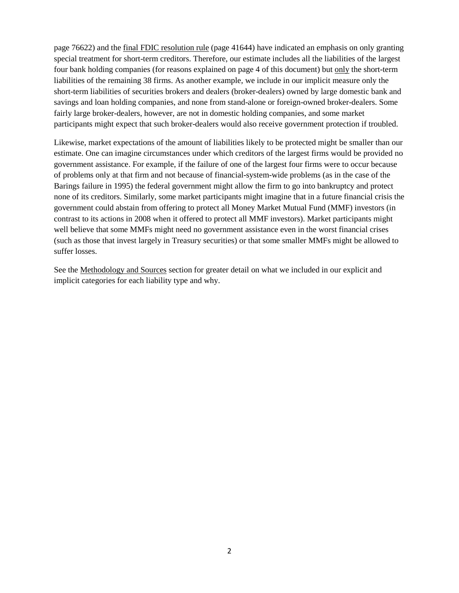page 76622) and the [final FDIC resolution rule](https://www.fdic.gov/regulations/laws/federal/2011/11finaljuly15.pdf) (page 41644) have indicated an emphasis on only granting special treatment for short-term creditors. Therefore, our estimate includes all the liabilities of the largest four bank holding companies (for reasons explained on page 4 of this document) but only the short-term liabilities of the remaining 38 firms. As another example, we include in our implicit measure only the short-term liabilities of securities brokers and dealers (broker-dealers) owned by large domestic bank and savings and loan holding companies, and none from stand-alone or foreign-owned broker-dealers. Some fairly large broker-dealers, however, are not in domestic holding companies, and some market participants might expect that such broker-dealers would also receive government protection if troubled.

Likewise, market expectations of the amount of liabilities likely to be protected might be smaller than our estimate. One can imagine circumstances under which creditors of the largest firms would be provided no government assistance. For example, if the failure of one of the largest four firms were to occur because of problems only at that firm and not because of financial-system-wide problems (as in the case of the Barings failure in 1995) the federal government might allow the firm to go into bankruptcy and protect none of its creditors. Similarly, some market participants might imagine that in a future financial crisis the government could abstain from offering to protect all Money Market Mutual Fund (MMF) investors (in contrast to its actions in 2008 when it offered to protect all MMF investors). Market participants might well believe that some MMFs might need no government assistance even in the worst financial crises (such as those that invest largely in Treasury securities) or that some smaller MMFs might be allowed to suffer losses.

See the Methodology and Sources section for greater detail on what we included in our explicit and implicit categories for each liability type and why.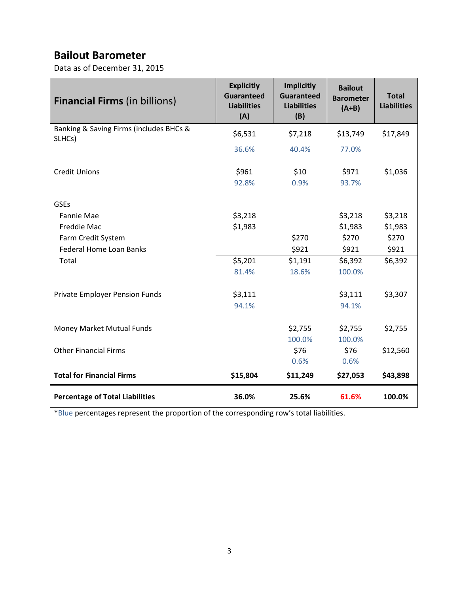# **Bailout Barometer**

Data as of December 31, 2015

| <b>Financial Firms (in billions)</b>              | <b>Explicitly</b><br><b>Guaranteed</b><br><b>Liabilities</b><br>(A) | <b>Implicitly</b><br><b>Guaranteed</b><br><b>Liabilities</b><br>(B) | <b>Bailout</b><br><b>Barometer</b><br>$(A+B)$ | <b>Total</b><br><b>Liabilities</b> |
|---------------------------------------------------|---------------------------------------------------------------------|---------------------------------------------------------------------|-----------------------------------------------|------------------------------------|
| Banking & Saving Firms (includes BHCs &<br>SLHCs) | \$6,531                                                             | \$7,218                                                             | \$13,749                                      | \$17,849                           |
|                                                   | 36.6%                                                               | 40.4%                                                               | 77.0%                                         |                                    |
| <b>Credit Unions</b>                              | \$961<br>92.8%                                                      | \$10<br>0.9%                                                        | \$971<br>93.7%                                | \$1,036                            |
| <b>GSEs</b>                                       |                                                                     |                                                                     |                                               |                                    |
| Fannie Mae                                        | \$3,218                                                             |                                                                     | \$3,218                                       | \$3,218                            |
| Freddie Mac                                       | \$1,983                                                             |                                                                     | \$1,983                                       | \$1,983                            |
| Farm Credit System                                |                                                                     | \$270                                                               | \$270                                         | \$270                              |
| <b>Federal Home Loan Banks</b>                    |                                                                     | \$921                                                               | \$921                                         | \$921                              |
| Total                                             | \$5,201                                                             | \$1,191                                                             | \$6,392                                       | \$6,392                            |
|                                                   | 81.4%                                                               | 18.6%                                                               | 100.0%                                        |                                    |
| Private Employer Pension Funds                    | \$3,111                                                             |                                                                     | \$3,111                                       | \$3,307                            |
|                                                   | 94.1%                                                               |                                                                     | 94.1%                                         |                                    |
| Money Market Mutual Funds                         |                                                                     | \$2,755                                                             | \$2,755                                       | \$2,755                            |
|                                                   |                                                                     | 100.0%                                                              | 100.0%                                        |                                    |
| <b>Other Financial Firms</b>                      |                                                                     | \$76                                                                | \$76                                          | \$12,560                           |
|                                                   |                                                                     | 0.6%                                                                | 0.6%                                          |                                    |
| <b>Total for Financial Firms</b>                  | \$15,804                                                            | \$11,249                                                            | \$27,053                                      | \$43,898                           |
| <b>Percentage of Total Liabilities</b>            | 36.0%                                                               | 25.6%                                                               | 61.6%                                         | 100.0%                             |

\*Blue percentages represent the proportion of the corresponding row's total liabilities.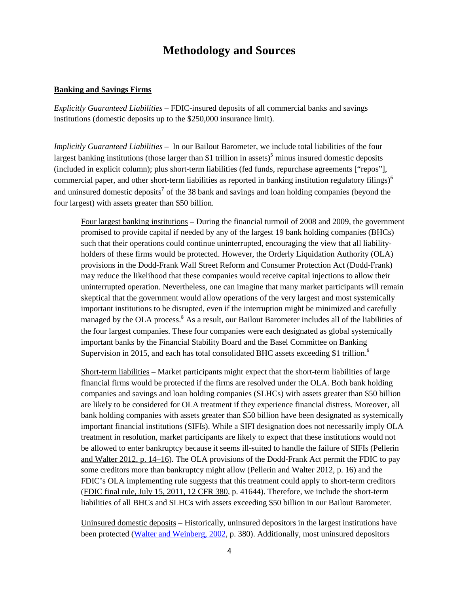## <span id="page-4-1"></span><span id="page-4-0"></span>**Methodology and Sources**

#### **Banking and Savings Firms**

*Explicitly Guaranteed Liabilities –* FDIC-insured deposits of all commercial banks and savings institutions (domestic deposits up to the \$250,000 insurance limit).

*Implicitly Guaranteed Liabilities –* In our Bailout Barometer, we include total liabilities of the four largest banking institutions (those larger than \$1 trillion in assets)<sup>5</sup> [m](#page-8-5)inus insured domestic deposits (included in explicit column); plus short-term liabilities (fed funds, repurchase agreements ["repos"], commercial paper, and other short-term liabilities as reported in banking institution regulatory filings[\)](#page-8-1)<sup>6</sup> and unin[s](#page-8-2)ured domestic deposits<sup>7</sup> of the 38 bank and savings and loan holding companies (beyond the four largest) with assets greater than \$50 billion.

<span id="page-4-2"></span>Four largest banking institutions – During the financial turmoil of 2008 and 2009, the government promised to provide capital if needed by any of the largest 19 bank holding companies (BHCs) such that their operations could continue uninterrupted, encouraging the view that all liabilityholders of these firms would be protected. However, the Orderly Liquidation Authority (OLA) provisions in the Dodd-Frank Wall Street Reform and Consumer Protection Act (Dodd-Frank) may reduce the likelihood that these companies would receive capital injections to allow their uninterrupted operation. Nevertheless, one can imagine that many market participants will remain skeptical that the government would allow operations of the very largest and most systemically important institutions to be disrupted, even if the interruption might be minimized and carefully managed by the OLA process[.](#page-8-3)<sup>8</sup> As a result, our Bailout Barometer includes all of the liabilities of the four largest companies. These four companies were each designated as global systemically important banks by the Financial Stability Board and the Basel Committee on Banking Supervision in 2015, and each has total consolidated BHC assets exceeding \$1 trillion[.](#page-8-4)<sup>9</sup>

<span id="page-4-4"></span><span id="page-4-3"></span>Short-term liabilities – Market participants might expect that the short-term liabilities of large financial firms would be protected if the firms are resolved under the OLA. Both bank holding companies and savings and loan holding companies (SLHCs) with assets greater than \$50 billion are likely to be considered for OLA treatment if they experience financial distress. Moreover, all bank holding companies with assets greater than \$50 billion have been designated as systemically important financial institutions (SIFIs). While a SIFI designation does not necessarily imply OLA treatment in resolution, market participants are likely to expect that these institutions would not be allowed to enter bankruptcy because it seems ill-suited to handle the failure of SIFIs [\(Pellerin](http://www.richmondfed.org/publications/research/economic_quarterly/2012/q1/pdf/walter.pdf)  [and Walter 2012, p. 14–16\)](http://www.richmondfed.org/publications/research/economic_quarterly/2012/q1/pdf/walter.pdf). The OLA provisions of the Dodd-Frank Act permit the FDIC to pay some creditors more than bankruptcy might allow (Pellerin and Walter 2012, p. 16) and the FDIC's OLA implementing rule suggests that this treatment could apply to short-term creditors [\(FDIC final rule, July 15, 2011, 12 CFR 380,](http://www.fdic.gov/regulations/laws/federal/2011/11finaljuly15.pdf) p. 41644). Therefore, we include the short-term liabilities of all BHCs and SLHCs with assets exceeding \$50 billion in our Bailout Barometer.

Uninsured domestic deposits – Historically, uninsured depositors in the largest institutions have been protected [\(Walter and Weinberg, 2002,](http://www.cato.org/sites/cato.org/files/serials/files/cato-journal/2002/1/cj21n3-2.pdf) p. 380). Additionally, most uninsured depositors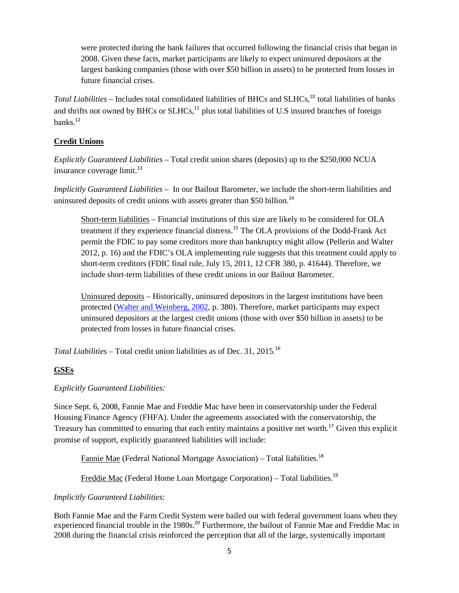<span id="page-5-1"></span><span id="page-5-0"></span>were protected during the bank failures that occurred following the financial crisis that began in 2008. Given these facts, market participants are likely to expect uninsured depositors at the largest banking companies (those with over \$50 billion in assets) to be protected from losses in future financial crises.

*To[t](#page-9-3)al Liabilities* – Includes total consolidated liabilities of BHCs and SLHCs,<sup>[10](#page-8-6)</sup> total liabilities of banks and thrifts not owned by BHCs or SLHCs,<sup>[11](#page-8-7)</sup> plus total liabilities of U.S insured branches of foreign banks.[12](#page-8-8)

#### <span id="page-5-2"></span>**Credit Unions**

*Explicitly Guaranteed Liabilities* – Total credit union shares (deposits) up to the \$250,000 NCUA insurance coverage  $\text{limit.}^{13}$  $\text{limit.}^{13}$  $\text{limit.}^{13}$ 

*Implicitly Guaranteed Liabilities –* In our Bailout Barometer, we include the short-term liabilities and uninsured deposits of credit unions with assets greater than \$50 billion.<sup>[14](#page-8-10)</sup>

<span id="page-5-5"></span><span id="page-5-4"></span><span id="page-5-3"></span>Short-term liabilities – Financial institutions of this size are likely to be considered for OLA treatment if they experience financial distress. [15](#page-8-11) The OLA provisions of the Dodd-Frank Act permit the FDIC to pay some creditors more than bankruptcy might allow (Pellerin and Walter 2012, p. 16) and the FDIC's OLA implementing rule suggests that this treatment could apply to short-term creditors (FDIC final rule, July 15, 2011, 12 CFR 380, p. 41644). Therefore, we include short-term liabilities of these credit unions in our Bailout Barometer.

<span id="page-5-6"></span>Uninsured deposits – Historically, uninsured depositors in the largest institutions have been protected [\(Walter and Weinberg, 2002,](http://www.cato.org/sites/cato.org/files/serials/files/cato-journal/2002/1/cj21n3-2.pdf) p. 380). Therefore, market participants may expect uninsured depositors at the largest credit unions (those with over \$50 billion in assets) to be protected from losses in future financial crises.

*Total Liabilities –* Total credit union liabilities as of Dec. 31, 2015. [16](#page-8-12)

#### **GSEs**

#### *Explicitly Guaranteed Liabilities:*

Since Sept. 6, 2008, Fannie Mae and Freddie Mac have been in conservatorship under the Federal Housing Finance Agency (FHFA). Under the agreements associated with the conservatorship, the Treasury has committed to ensuring that each entity maintains a positive net worth.<sup>[17](#page-8-13)</sup> [G](#page-9-4)iven this explicit promise of support, explicitly guaranteed liabilities will include:

<span id="page-5-8"></span><span id="page-5-7"></span>Fannie Mae (Federal National Mortgage Association) – Total liabilities.<sup>[18](#page-9-0)</sup>

<span id="page-5-10"></span><span id="page-5-9"></span>Freddie Mac (Federal Home Loan Mortgage Corporation) – Total liabilities.<sup>[19](#page-9-1)</sup>

#### *Implicitly Guaranteed Liabilities*:

Both Fannie Mae and the Farm Credit Syste[m](#page-9-5) were bailed out with federal government loans when they experienced financial trouble in the 1980s.<sup>[20](#page-9-2)</sup> Furthermore, the bailout of Fannie Mae and Freddie Mac in 2008 during the financial crisis reinforced the perception that all of the large, systemically important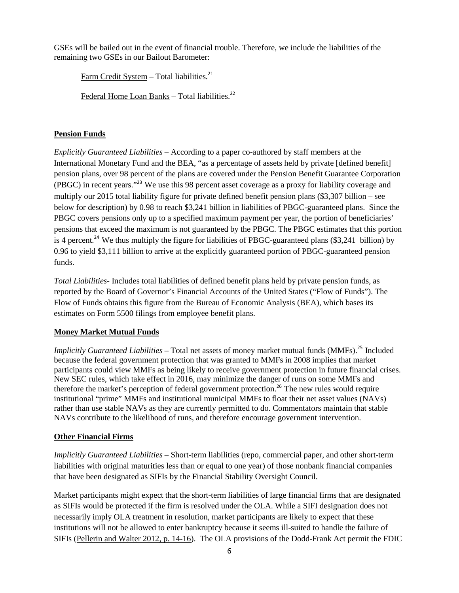GSEs will be bailed out in the event of financial trouble. Therefore, we include the liabilities of the remaining two GSEs in our Bailout Barometer:

<span id="page-6-0"></span>Farm Credit System - Total liabilities.<sup>[21](#page-9-6)</sup>

<span id="page-6-1"></span>Federal Home Loan Banks - Total liabilities.<sup>[22](#page-9-7)</sup>

### **Pension Funds**

<span id="page-6-2"></span>*Explicitly Guaranteed Liabilities* – According to a paper co-authored by staff members at the International Monetary Fund and the BEA, "as a percentage of assets held by private [defined benefit] pension plans, over 98 percent of the plans are covered under the Pension Benefit Guarantee Corporation (PBGC) in recent years."[23](#page-9-8) [W](#page-9-12)e use this 98 percent asset coverage as a proxy for liability coverage and multiply our 2015 total liability figure for private defined benefit pension plans (\$3,307 billion – see below for description) by 0.98 to reach \$3,241 billion in liabilities of PBGC-guaranteed plans. Since the PBGC covers pensions only up to a specified maximum payment per year, the portion of beneficiaries' pensions that exceed the maximum is not guaranteed by the PBGC. The PBGC estimates that this portion is 4 percent.<sup>[24](#page-9-9)</sup> [W](#page-9-13)e thus multiply the figure for liabilities of PBGC-guaranteed plans (\$3,241 billion) by 0.96 to yield \$3,111 billion to arrive at the explicitly guaranteed portion of PBGC-guaranteed pension funds.

<span id="page-6-3"></span>*Total Liabilities*- Includes total liabilities of defined benefit plans held by private pension funds, as reported by the Board of Governor's Financial Accounts of the United States ("Flow of Funds"). The Flow of Funds obtains this figure from the Bureau of Economic Analysis (BEA), which bases its estimates on Form 5500 filings from employee benefit plans.

## **Money Market Mutual Funds**

<span id="page-6-5"></span><span id="page-6-4"></span>*Implicitly Guaranteed Liabilities* – Total net assets of money market mutual funds (MMFs). [25](#page-9-10) Included because the federal government protection that was granted to MMFs in 2008 implies that market participants could view MMFs as being likely to receive government protection in future financial crises. New SEC rules, which take effect in 2016, may minimize the danger [o](#page-9-14)f runs on some MMFs and therefore the market's perception of federal government protection.<sup>[26](#page-9-11)</sup> The new rules would require institutional "prime" MMFs and institutional municipal MMFs to float their net asset values (NAVs) rather than use stable NAVs as they are currently permitted to do. Commentators maintain that stable NAVs contribute to the likelihood of runs, and therefore encourage government intervention.

#### **Other Financial Firms**

*Implicitly Guaranteed Liabilities* – Short-term liabilities (repo, commercial paper, and other short-term liabilities with original maturities less than or equal to one year) of those nonbank financial companies that have been designated as SIFIs by the Financial Stability Oversight Council.

Market participants might expect that the short-term liabilities of large financial firms that are designated as SIFIs would be protected if the firm is resolved under the OLA. While a SIFI designation does not necessarily imply OLA treatment in resolution, market participants are likely to expect that these institutions will not be allowed to enter bankruptcy because it seems ill-suited to handle the failure of SIFIs [\(Pellerin and Walter 2012, p. 14-16\)](http://www.richmondfed.org/publications/research/economic_quarterly/2012/q1/pdf/walter.pdf). The OLA provisions of the Dodd-Frank Act permit the FDIC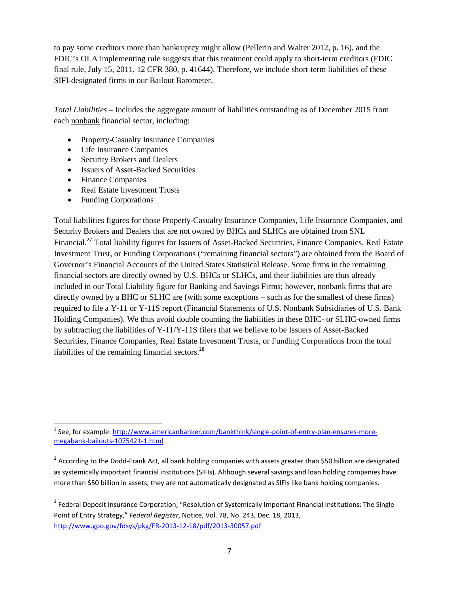to pay some creditors more than bankruptcy might allow (Pellerin and Walter 2012, p. 16), and the FDIC's OLA implementing rule suggests that this treatment could apply to short-term creditors (FDIC final rule, July 15, 2011, 12 CFR 380, p. 41644). Therefore, we include short-term liabilities of these SIFI-designated firms in our Bailout Barometer.

*Total Liabilities* – Includes the aggregate amount of liabilities outstanding as of December 2015 from each nonbank financial sector, including:

- Property-Casualty Insurance Companies
- Life Insurance Companies
- Security Brokers and Dealers
- Issuers of Asset-Backed Securities
- Finance Companies
- Real Estate Investment Trusts
- Funding Corporations

<span id="page-7-5"></span>Total liabilities figures for those Property-Casualty Insurance Companies, Life Insurance Companies, and Security Brokers and Dealers that are not owned by BHCs and SLHCs are obtained from SNL Financial.<sup>27</sup> Total liability figures for Issuers of Asset-Backed Securities, Finance Companies, Real Estate Investment Trust, or Funding Corporations ("remaining financial sectors") are obtained from the Board of Governor's Financial Accounts of the United States Statistical Release. Some firms in the remaining financial sectors are directly owned by U.S. BHCs or SLHCs, and their liabilities are thus already included in our Total Liability figure for Banking and Savings Firms; however, nonbank firms that are directly owned by a BHC or SLHC are (with some exceptions – such as for the smallest of these firms) required to file a Y-11 or Y-11S report (Financial Statements of U.S. Nonbank Subsidiaries of U.S. Bank Holding Companies). We thus avoid double counting the liabilities in these BHC- or SLHC-owned firms by subtracting the liabilities of Y-11/Y-11S filers that we believe to be Issuers of Asset-Backed Securities, Finance Companies, Real Estate Investment Trusts, or Funding Corporations from the total liabilities of the remaining financial sectors.<sup>[28](#page-9-15)</sup>

<span id="page-7-6"></span><span id="page-7-2"></span><sup>[1](#page-1-3)</sup> See, for example[: http://www.americanbanker.com/bankthink/single-point-of-entry-plan-ensures-more](http://www.americanbanker.com/bankthink/single-point-of-entry-plan-ensures-more-megabank-bailouts-1075421-1.html)[megabank-bailouts-1075421-1.html](http://www.americanbanker.com/bankthink/single-point-of-entry-plan-ensures-more-megabank-bailouts-1075421-1.html)

<span id="page-7-3"></span><span id="page-7-0"></span> $2$  According to the Dodd-Frank Act, all bank holding companies with assets greater than \$50 billion are designated as systemically important financial institutions (SIFIs). Although several savings and loan holding companies have more than \$50 billion in assets, they are not automatically designated as SIFIs like bank holding companies.

<span id="page-7-4"></span><span id="page-7-1"></span><sup>&</sup>lt;sup>[3](#page-1-5)</sup> Federal Deposit Insurance Corporation, "Resolution of Systemically Important Financial Institutions: The Single Point of Entry Strategy," *Federal Register*, Notice, Vol. 78, No. 243, Dec. 18, 2013, <http://www.gpo.gov/fdsys/pkg/FR-2013-12-18/pdf/2013-30057.pdf>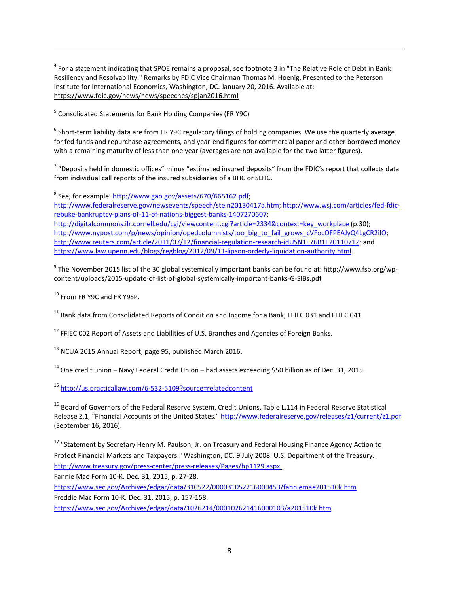<span id="page-8-0"></span>[4](#page-1-6) For a statement indicating that SPOE remains a proposal, see footnote 3 in "The Relative Role of Debt in Bank Resiliency and Resolvability." Remarks by FDIC Vice Chairman Thomas M. Hoenig. Presented to the Peterson Institute for International Economics, Washington, DC. January 20, 2016. Available at: <https://www.fdic.gov/news/news/speeches/spjan2016.html>

<span id="page-8-5"></span>[5](#page-4-0) Consolidated Statements for Bank Holding Companies (FR Y9C)

<span id="page-8-1"></span> $6$  Short-term liability data are from FR Y9C regulatory filings of holding companies. We use the quarterly average for fed funds and repurchase agreements, and year-end figures for commercial paper and other borrowed money with a remaining maturity of less than one year (averages are not available for the two latter figures).

<span id="page-8-2"></span><sup>[7](#page-4-2)</sup> "Deposits held in domestic offices" minus "estimated insured deposits" from the FDIC's report that collects data from individual call reports of the insured subsidiaries of a BHC or SLHC.

<span id="page-8-3"></span><sup>[8](#page-4-3)</sup> See, for example[: http://www.gao.gov/assets/670/665162.pdf;](http://www.gao.gov/assets/670/665162.pdf) [http://www.federalreserve.gov/newsevents/speech/stein20130417a.htm;](http://www.federalreserve.gov/newsevents/speech/stein20130417a.htm) [http://www.wsj.com/articles/fed-fdic](http://www.wsj.com/articles/fed-fdic-rebuke-bankruptcy-plans-of-11-of-nations-biggest-banks-1407270607)[rebuke-bankruptcy-plans-of-11-of-nations-biggest-banks-1407270607;](http://www.wsj.com/articles/fed-fdic-rebuke-bankruptcy-plans-of-11-of-nations-biggest-banks-1407270607) [http://digitalcommons.ilr.cornell.edu/cgi/viewcontent.cgi?article=2334&context=key\\_workplace](http://digitalcommons.ilr.cornell.edu/cgi/viewcontent.cgi?article=2334&context=key_workplace) (p.30); [http://www.nypost.com/p/news/opinion/opedcolumnists/too\\_big\\_to\\_fail\\_grows\\_cVFocOFPEAJyQ4LgCR2ilO;](http://www.nypost.com/p/news/opinion/opedcolumnists/too_big_to_fail_grows_cVFocOFPEAJyQ4LgCR2ilO) [http://www.reuters.com/article/2011/07/12/financial-regulation-research-idUSN1E76B1II20110712;](http://www.reuters.com/article/2011/07/12/financial-regulation-research-idUSN1E76B1II20110712) and [https://www.law.upenn.edu/blogs/regblog/2012/09/11-lipson-orderly-liquidation-authority.html.](https://www.law.upenn.edu/blogs/regblog/2012/09/11-lipson-orderly-liquidation-authority.html)

<span id="page-8-4"></span><sup>[9](#page-4-4)</sup> The November 2015 list of the 30 global systemically important banks can be found at[: http://www.fsb.org/wp](http://www.fsb.org/wp-content/uploads/2015-update-of-list-of-global-systemically-important-banks-G-SIBs.pdf)[content/uploads/2015-update-of-list-of-global-systemically-important-banks-G-SIBs.pdf](http://www.fsb.org/wp-content/uploads/2015-update-of-list-of-global-systemically-important-banks-G-SIBs.pdf)

<span id="page-8-6"></span><sup>[10](#page-5-0)</sup> From FR Y9C and FR Y9SP.

 $\overline{a}$ 

<span id="page-8-7"></span><sup>[11](#page-5-1)</sup> Bank data from Consolidated Reports of Condition and Income for a Bank, FFIEC 031 and FFIEC 041.

<span id="page-8-8"></span> $12$  FFIEC 002 Report of Assets and Liabilities of U.S. Branches and Agencies of Foreign Banks.

<span id="page-8-9"></span><sup>[13](#page-5-3)</sup> NCUA 2015 Annual Report, page 95, published March 2016.

<span id="page-8-10"></span> $14$  One credit union – Navy Federal Credit Union – had assets exceeding \$50 billion as of Dec. 31, 2015.

<span id="page-8-11"></span>[15](#page-5-5) <http://us.practicallaw.com/6-532-5109?source=relatedcontent>

<span id="page-8-12"></span><sup>[16](#page-5-6)</sup> Board of Governors of the Federal Reserve System. Credit Unions, Table L.114 in Federal Reserve Statistical Release Z.1, "Financial Accounts of the United States." <http://www.federalreserve.gov/releases/z1/current/z1.pdf> (September 16, 2016).

<span id="page-8-13"></span><sup>[17](#page-5-7)</sup> "Statement by Secretary Henry M. Paulson, Jr. on Treasury and Federal Housing Finance Agency Action to Protect Financial Markets and Taxpayers." Washington, DC. 9 July 2008. U.S. Department of the Treasury. [http://www.treasury.gov/press-center/press-releases/Pages/hp1129.aspx.](http://www.treasury.gov/press-center/press-releases/Pages/hp1129.aspx)

Fannie Mae Form 10-K. Dec. 31, 2015, p. 27-28.

<https://www.sec.gov/Archives/edgar/data/310522/000031052216000453/fanniemae201510k.htm> Freddie Mac Form 10-K. Dec. 31, 2015, p. 157-158.

<https://www.sec.gov/Archives/edgar/data/1026214/000102621416000103/a201510k.htm>